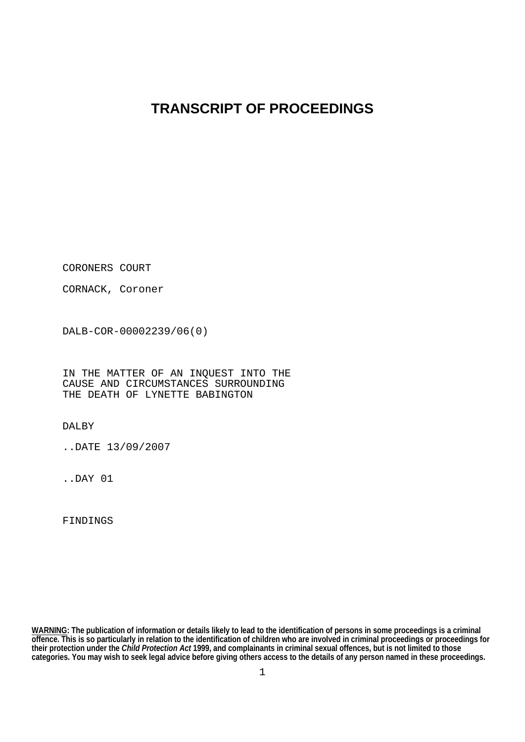## **TRANSCRIPT OF PROCEEDINGS**

CORONERS COURT

CORNACK, Coroner

DALB-COR-00002239/06(0)

IN THE MATTER OF AN INQUEST INTO THE CAUSE AND CIRCUMSTANCES SURROUNDING THE DEATH OF LYNETTE BABINGTON

DALBY

..DATE 13/09/2007

..DAY 01

FINDINGS

**WARNING: The publication of information or details likely to lead to the identification of persons in some proceedings is a criminal offence. This is so particularly in relation to the identification of children who are involved in criminal proceedings or proceedings for their protection under the** *Child Protection Act* **1999, and complainants in criminal sexual offences, but is not limited to those categories. You may wish to seek legal advice before giving others access to the details of any person named in these proceedings.**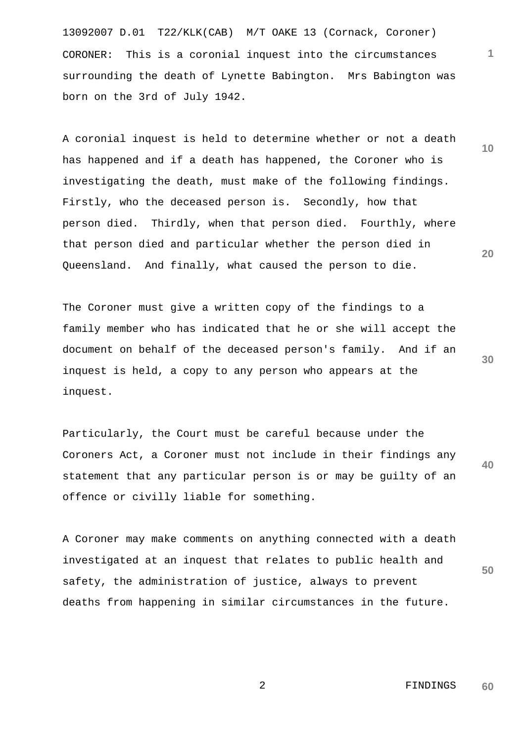13092007 D.01 T22/KLK(CAB) M/T OAKE 13 (Cornack, Coroner) CORONER: This is a coronial inquest into the circumstances surrounding the death of Lynette Babington. Mrs Babington was born on the 3rd of July 1942.

A coronial inquest is held to determine whether or not a death has happened and if a death has happened, the Coroner who is investigating the death, must make of the following findings. Firstly, who the deceased person is. Secondly, how that person died. Thirdly, when that person died. Fourthly, where that person died and particular whether the person died in Queensland. And finally, what caused the person to die.

The Coroner must give a written copy of the findings to a family member who has indicated that he or she will accept the document on behalf of the deceased person's family. And if an inquest is held, a copy to any person who appears at the inquest.

**40**  Particularly, the Court must be careful because under the Coroners Act, a Coroner must not include in their findings any statement that any particular person is or may be guilty of an offence or civilly liable for something.

**50**  A Coroner may make comments on anything connected with a death investigated at an inquest that relates to public health and safety, the administration of justice, always to prevent deaths from happening in similar circumstances in the future.

> 2 FINDINGS **60**

**20** 

**30** 

**10**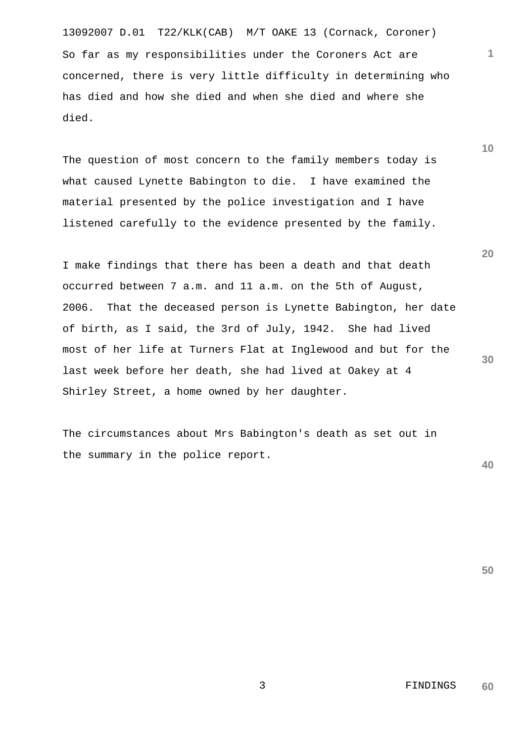13092007 D.01 T22/KLK(CAB) M/T OAKE 13 (Cornack, Coroner) So far as my responsibilities under the Coroners Act are concerned, there is very little difficulty in determining who has died and how she died and when she died and where she died.

The question of most concern to the family members today is what caused Lynette Babington to die. I have examined the material presented by the police investigation and I have listened carefully to the evidence presented by the family.

I make findings that there has been a death and that death occurred between 7 a.m. and 11 a.m. on the 5th of August, 2006. That the deceased person is Lynette Babington, her date of birth, as I said, the 3rd of July, 1942. She had lived most of her life at Turners Flat at Inglewood and but for the last week before her death, she had lived at Oakey at 4 Shirley Street, a home owned by her daughter.

The circumstances about Mrs Babington's death as set out in the summary in the police report.

**40** 

**30** 

**50** 

**10** 

**1**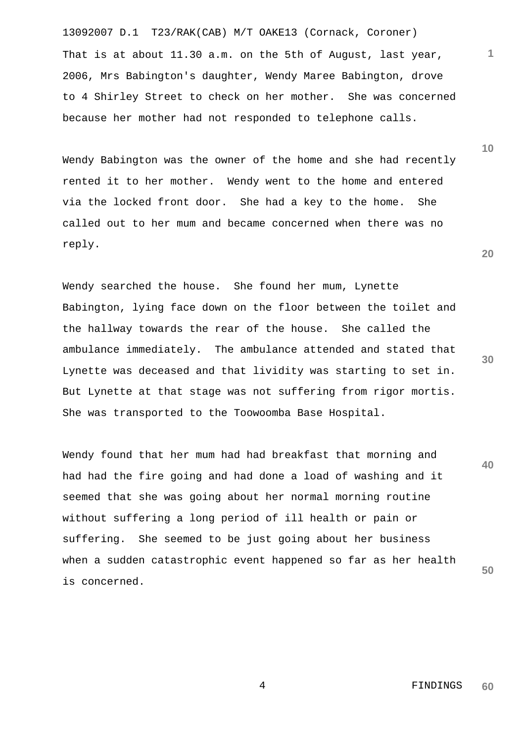13092007 D.1 T23/RAK(CAB) M/T OAKE13 (Cornack, Coroner) That is at about 11.30 a.m. on the 5th of August, last year, 2006, Mrs Babington's daughter, Wendy Maree Babington, drove to 4 Shirley Street to check on her mother. She was concerned because her mother had not responded to telephone calls.

Wendy Babington was the owner of the home and she had recently rented it to her mother. Wendy went to the home and entered via the locked front door. She had a key to the home. She called out to her mum and became concerned when there was no reply.

Wendy searched the house. She found her mum, Lynette Babington, lying face down on the floor between the toilet and the hallway towards the rear of the house. She called the ambulance immediately. The ambulance attended and stated that Lynette was deceased and that lividity was starting to set in. But Lynette at that stage was not suffering from rigor mortis. She was transported to the Toowoomba Base Hospital.

**40 50**  Wendy found that her mum had had breakfast that morning and had had the fire going and had done a load of washing and it seemed that she was going about her normal morning routine without suffering a long period of ill health or pain or suffering. She seemed to be just going about her business when a sudden catastrophic event happened so far as her health is concerned.

**30** 

**20** 

**1**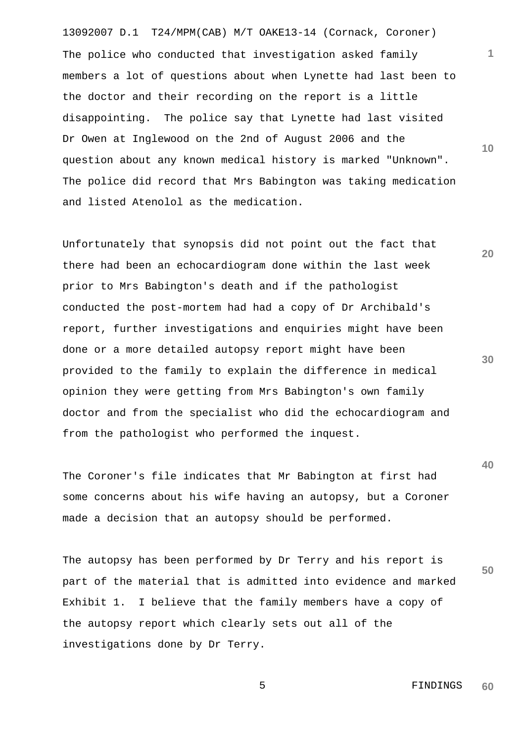13092007 D.1 T24/MPM(CAB) M/T OAKE13-14 (Cornack, Coroner) **10**  The police who conducted that investigation asked family members a lot of questions about when Lynette had last been to the doctor and their recording on the report is a little disappointing. The police say that Lynette had last visited Dr Owen at Inglewood on the 2nd of August 2006 and the question about any known medical history is marked "Unknown". The police did record that Mrs Babington was taking medication and listed Atenolol as the medication.

Unfortunately that synopsis did not point out the fact that there had been an echocardiogram done within the last week prior to Mrs Babington's death and if the pathologist conducted the post-mortem had had a copy of Dr Archibald's report, further investigations and enquiries might have been done or a more detailed autopsy report might have been provided to the family to explain the difference in medical opinion they were getting from Mrs Babington's own family doctor and from the specialist who did the echocardiogram and from the pathologist who performed the inquest.

The Coroner's file indicates that Mr Babington at first had some concerns about his wife having an autopsy, but a Coroner made a decision that an autopsy should be performed.

**50**  The autopsy has been performed by Dr Terry and his report is part of the material that is admitted into evidence and marked Exhibit 1. I believe that the family members have a copy of the autopsy report which clearly sets out all of the investigations done by Dr Terry.

**1**

**20** 

**30**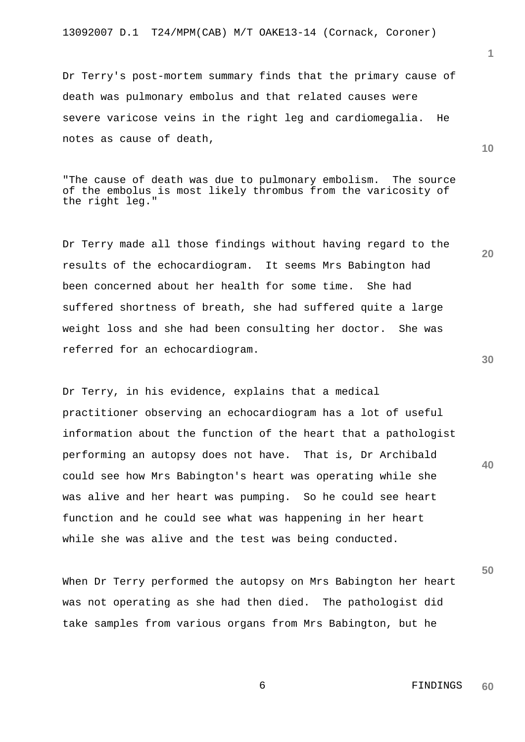Dr Terry's post-mortem summary finds that the primary cause of death was pulmonary embolus and that related causes were severe varicose veins in the right leg and cardiomegalia. He notes as cause of death,

"The cause of death was due to pulmonary embolism. The source of the embolus is most likely thrombus from the varicosity of the right leg."

Dr Terry made all those findings without having regard to the results of the echocardiogram. It seems Mrs Babington had been concerned about her health for some time. She had suffered shortness of breath, she had suffered quite a large weight loss and she had been consulting her doctor. She was referred for an echocardiogram.

Dr Terry, in his evidence, explains that a medical practitioner observing an echocardiogram has a lot of useful information about the function of the heart that a pathologist performing an autopsy does not have. That is, Dr Archibald could see how Mrs Babington's heart was operating while she was alive and her heart was pumping. So he could see heart function and he could see what was happening in her heart while she was alive and the test was being conducted.

When Dr Terry performed the autopsy on Mrs Babington her heart was not operating as she had then died. The pathologist did take samples from various organs from Mrs Babington, but he

**10** 

**20** 

**1**

**30** 

**50**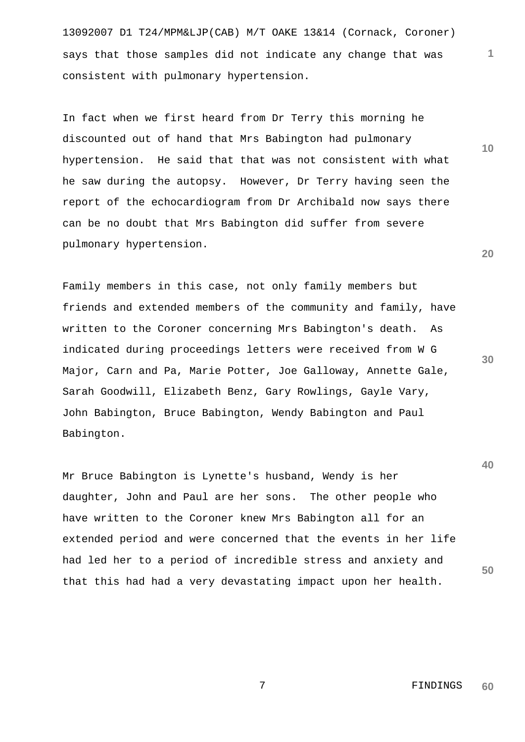13092007 D1 T24/MPM&LJP(CAB) M/T OAKE 13&14 (Cornack, Coroner) says that those samples did not indicate any change that was consistent with pulmonary hypertension.

In fact when we first heard from Dr Terry this morning he discounted out of hand that Mrs Babington had pulmonary hypertension. He said that that was not consistent with what he saw during the autopsy. However, Dr Terry having seen the report of the echocardiogram from Dr Archibald now says there can be no doubt that Mrs Babington did suffer from severe pulmonary hypertension.

Family members in this case, not only family members but friends and extended members of the community and family, have written to the Coroner concerning Mrs Babington's death. As indicated during proceedings letters were received from W G Major, Carn and Pa, Marie Potter, Joe Galloway, Annette Gale, Sarah Goodwill, Elizabeth Benz, Gary Rowlings, Gayle Vary, John Babington, Bruce Babington, Wendy Babington and Paul Babington.

**50**  Mr Bruce Babington is Lynette's husband, Wendy is her daughter, John and Paul are her sons. The other people who have written to the Coroner knew Mrs Babington all for an extended period and were concerned that the events in her life had led her to a period of incredible stress and anxiety and that this had had a very devastating impact upon her health.

**40** 

**30** 

**1**

**10**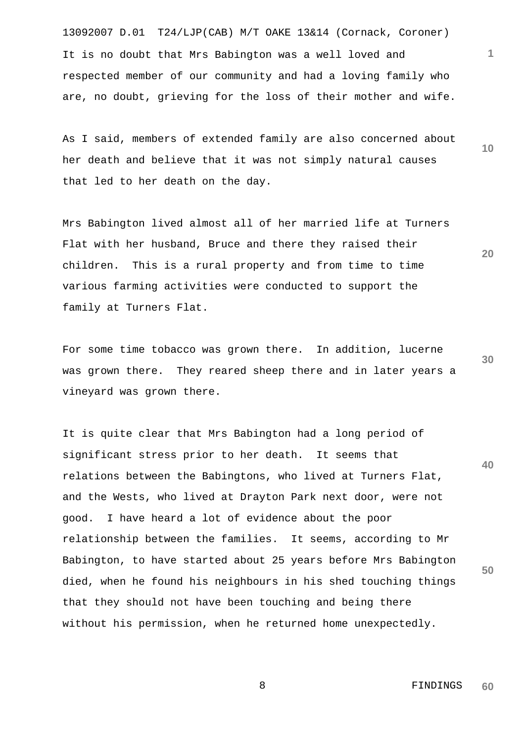13092007 D.01 T24/LJP(CAB) M/T OAKE 13&14 (Cornack, Coroner) It is no doubt that Mrs Babington was a well loved and respected member of our community and had a loving family who are, no doubt, grieving for the loss of their mother and wife.

As I said, members of extended family are also concerned about her death and believe that it was not simply natural causes that led to her death on the day.

Mrs Babington lived almost all of her married life at Turners Flat with her husband, Bruce and there they raised their children. This is a rural property and from time to time various farming activities were conducted to support the family at Turners Flat.

**30**  For some time tobacco was grown there. In addition, lucerne was grown there. They reared sheep there and in later years a vineyard was grown there.

**40 50**  It is quite clear that Mrs Babington had a long period of significant stress prior to her death. It seems that relations between the Babingtons, who lived at Turners Flat, and the Wests, who lived at Drayton Park next door, were not good. I have heard a lot of evidence about the poor relationship between the families. It seems, according to Mr Babington, to have started about 25 years before Mrs Babington died, when he found his neighbours in his shed touching things that they should not have been touching and being there without his permission, when he returned home unexpectedly.

**10** 

**1**

**20** 

**60** 

8 FINDINGS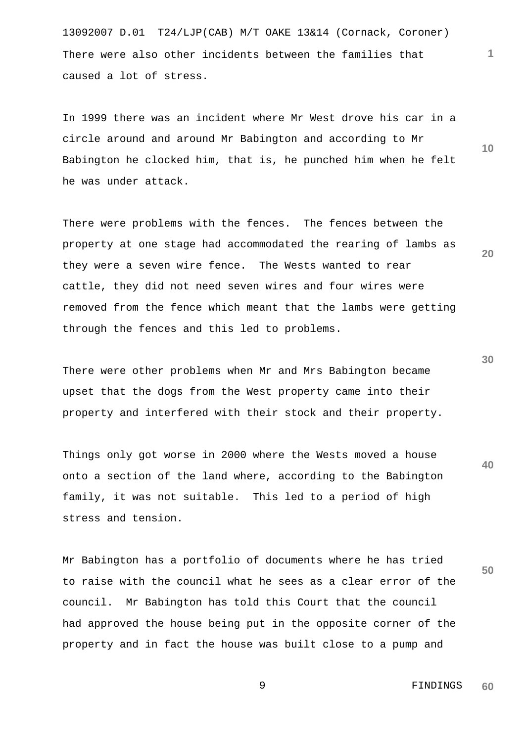13092007 D.01 T24/LJP(CAB) M/T OAKE 13&14 (Cornack, Coroner) There were also other incidents between the families that caused a lot of stress.

In 1999 there was an incident where Mr West drove his car in a circle around and around Mr Babington and according to Mr Babington he clocked him, that is, he punched him when he felt he was under attack.

There were problems with the fences. The fences between the property at one stage had accommodated the rearing of lambs as they were a seven wire fence. The Wests wanted to rear cattle, they did not need seven wires and four wires were removed from the fence which meant that the lambs were getting through the fences and this led to problems.

There were other problems when Mr and Mrs Babington became upset that the dogs from the West property came into their property and interfered with their stock and their property.

**40**  Things only got worse in 2000 where the Wests moved a house onto a section of the land where, according to the Babington family, it was not suitable. This led to a period of high stress and tension.

Mr Babington has a portfolio of documents where he has tried to raise with the council what he sees as a clear error of the council. Mr Babington has told this Court that the council had approved the house being put in the opposite corner of the property and in fact the house was built close to a pump and

> 9 FINDINGS **60**

**30** 

**50** 

**20** 

**10**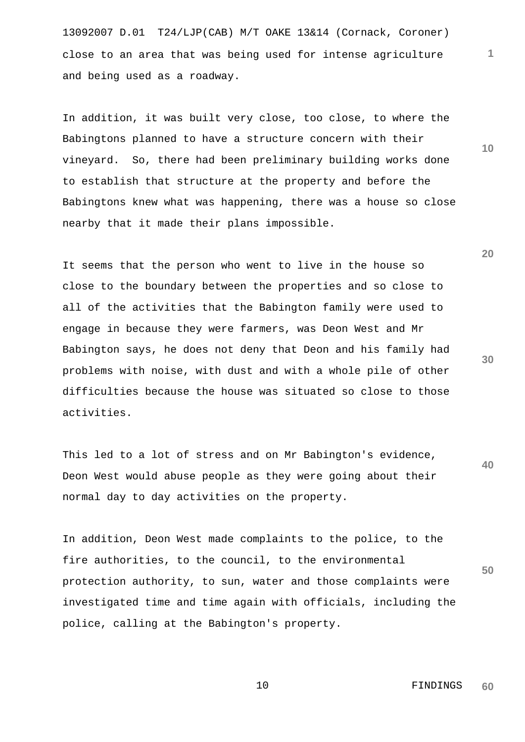13092007 D.01 T24/LJP(CAB) M/T OAKE 13&14 (Cornack, Coroner) close to an area that was being used for intense agriculture and being used as a roadway.

In addition, it was built very close, too close, to where the Babingtons planned to have a structure concern with their vineyard. So, there had been preliminary building works done to establish that structure at the property and before the Babingtons knew what was happening, there was a house so close nearby that it made their plans impossible.

It seems that the person who went to live in the house so close to the boundary between the properties and so close to all of the activities that the Babington family were used to engage in because they were farmers, was Deon West and Mr Babington says, he does not deny that Deon and his family had problems with noise, with dust and with a whole pile of other difficulties because the house was situated so close to those activities.

**40**  This led to a lot of stress and on Mr Babington's evidence, Deon West would abuse people as they were going about their normal day to day activities on the property.

**50**  In addition, Deon West made complaints to the police, to the fire authorities, to the council, to the environmental protection authority, to sun, water and those complaints were investigated time and time again with officials, including the police, calling at the Babington's property.

**20** 

**10** 

**1**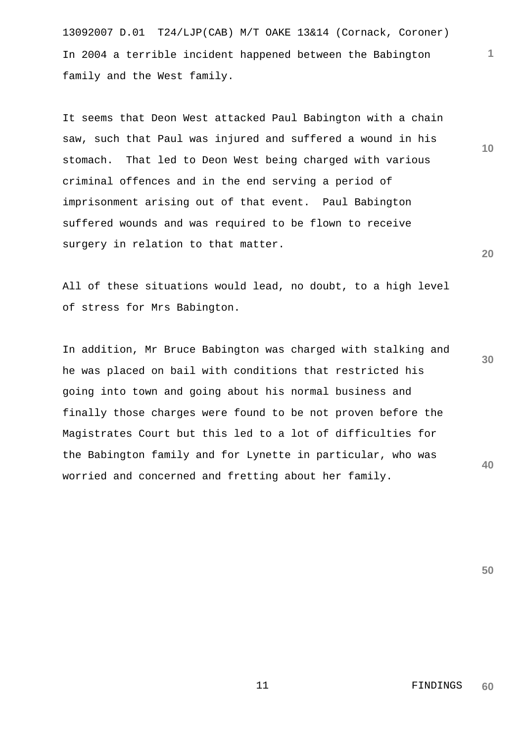13092007 D.01 T24/LJP(CAB) M/T OAKE 13&14 (Cornack, Coroner) In 2004 a terrible incident happened between the Babington family and the West family.

It seems that Deon West attacked Paul Babington with a chain saw, such that Paul was injured and suffered a wound in his stomach. That led to Deon West being charged with various criminal offences and in the end serving a period of imprisonment arising out of that event. Paul Babington suffered wounds and was required to be flown to receive surgery in relation to that matter.

All of these situations would lead, no doubt, to a high level of stress for Mrs Babington.

**30 40**  In addition, Mr Bruce Babington was charged with stalking and he was placed on bail with conditions that restricted his going into town and going about his normal business and finally those charges were found to be not proven before the Magistrates Court but this led to a lot of difficulties for the Babington family and for Lynette in particular, who was worried and concerned and fretting about her family.

**50** 

**20** 

**10**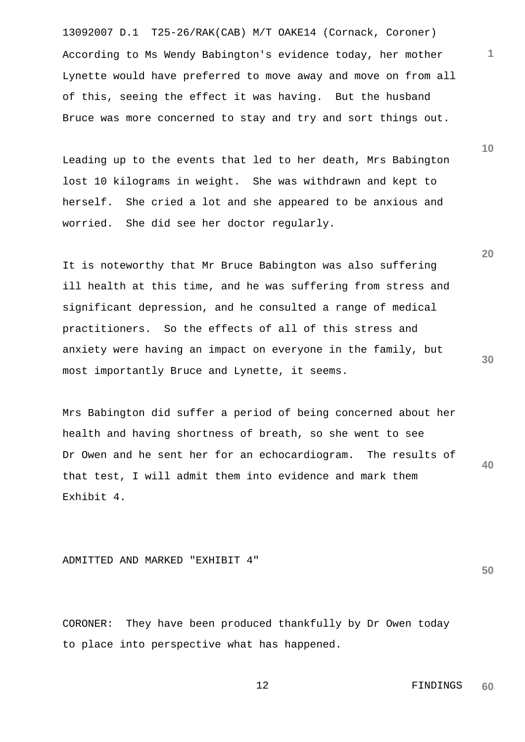13092007 D.1 T25-26/RAK(CAB) M/T OAKE14 (Cornack, Coroner) According to Ms Wendy Babington's evidence today, her mother Lynette would have preferred to move away and move on from all of this, seeing the effect it was having. But the husband Bruce was more concerned to stay and try and sort things out.

Leading up to the events that led to her death, Mrs Babington lost 10 kilograms in weight. She was withdrawn and kept to herself. She cried a lot and she appeared to be anxious and worried. She did see her doctor regularly.

It is noteworthy that Mr Bruce Babington was also suffering ill health at this time, and he was suffering from stress and significant depression, and he consulted a range of medical practitioners. So the effects of all of this stress and anxiety were having an impact on everyone in the family, but most importantly Bruce and Lynette, it seems.

**40**  Mrs Babington did suffer a period of being concerned about her health and having shortness of breath, so she went to see Dr Owen and he sent her for an echocardiogram. The results of that test, I will admit them into evidence and mark them Exhibit 4.

## ADMITTED AND MARKED "EXHIBIT 4"

CORONER: They have been produced thankfully by Dr Owen today to place into perspective what has happened.

**50** 

 12 FINDINGS **60** 

**10** 

**1**

**20**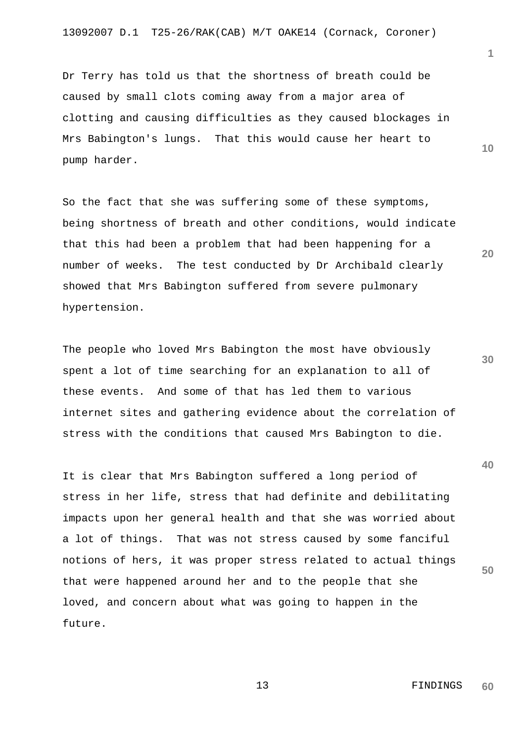Dr Terry has told us that the shortness of breath could be caused by small clots coming away from a major area of clotting and causing difficulties as they caused blockages in Mrs Babington's lungs. That this would cause her heart to pump harder.

So the fact that she was suffering some of these symptoms, being shortness of breath and other conditions, would indicate that this had been a problem that had been happening for a number of weeks. The test conducted by Dr Archibald clearly showed that Mrs Babington suffered from severe pulmonary hypertension.

The people who loved Mrs Babington the most have obviously spent a lot of time searching for an explanation to all of these events. And some of that has led them to various internet sites and gathering evidence about the correlation of stress with the conditions that caused Mrs Babington to die.

**50**  It is clear that Mrs Babington suffered a long period of stress in her life, stress that had definite and debilitating impacts upon her general health and that she was worried about a lot of things. That was not stress caused by some fanciful notions of hers, it was proper stress related to actual things that were happened around her and to the people that she loved, and concern about what was going to happen in the future.

**1**

**10** 

**20** 

**30**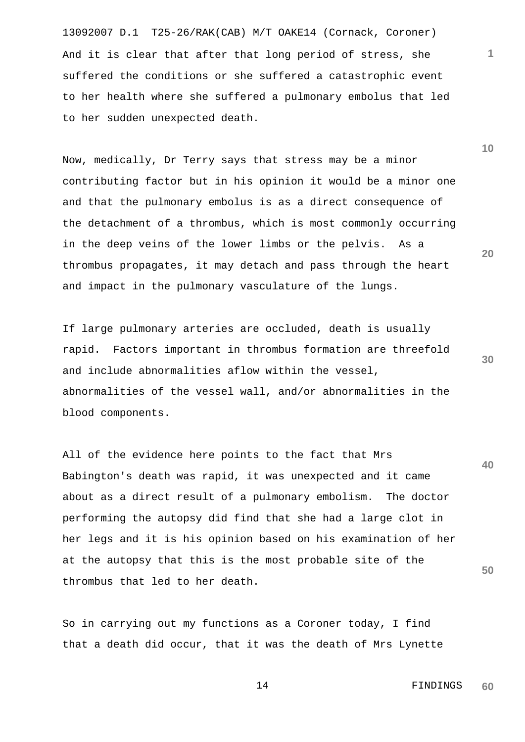13092007 D.1 T25-26/RAK(CAB) M/T OAKE14 (Cornack, Coroner) And it is clear that after that long period of stress, she suffered the conditions or she suffered a catastrophic event to her health where she suffered a pulmonary embolus that led to her sudden unexpected death.

Now, medically, Dr Terry says that stress may be a minor contributing factor but in his opinion it would be a minor one and that the pulmonary embolus is as a direct consequence of the detachment of a thrombus, which is most commonly occurring in the deep veins of the lower limbs or the pelvis. As a thrombus propagates, it may detach and pass through the heart and impact in the pulmonary vasculature of the lungs.

If large pulmonary arteries are occluded, death is usually rapid. Factors important in thrombus formation are threefold and include abnormalities aflow within the vessel, abnormalities of the vessel wall, and/or abnormalities in the blood components.

**40 50**  All of the evidence here points to the fact that Mrs Babington's death was rapid, it was unexpected and it came about as a direct result of a pulmonary embolism. The doctor performing the autopsy did find that she had a large clot in her legs and it is his opinion based on his examination of her at the autopsy that this is the most probable site of the thrombus that led to her death.

So in carrying out my functions as a Coroner today, I find that a death did occur, that it was the death of Mrs Lynette **10** 

**1**

**20**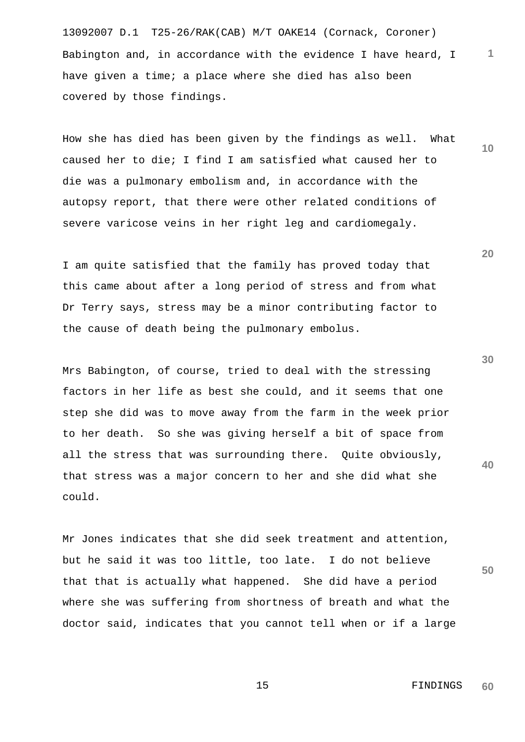13092007 D.1 T25-26/RAK(CAB) M/T OAKE14 (Cornack, Coroner) Babington and, in accordance with the evidence I have heard, I have given a time; a place where she died has also been covered by those findings.

How she has died has been given by the findings as well. What caused her to die; I find I am satisfied what caused her to die was a pulmonary embolism and, in accordance with the autopsy report, that there were other related conditions of severe varicose veins in her right leg and cardiomegaly.

I am quite satisfied that the family has proved today that this came about after a long period of stress and from what Dr Terry says, stress may be a minor contributing factor to the cause of death being the pulmonary embolus.

Mrs Babington, of course, tried to deal with the stressing factors in her life as best she could, and it seems that one step she did was to move away from the farm in the week prior to her death. So she was giving herself a bit of space from all the stress that was surrounding there. Quite obviously, that stress was a major concern to her and she did what she could.

Mr Jones indicates that she did seek treatment and attention, but he said it was too little, too late. I do not believe that that is actually what happened. She did have a period where she was suffering from shortness of breath and what the doctor said, indicates that you cannot tell when or if a large

**20** 

**1**

**10** 

**30**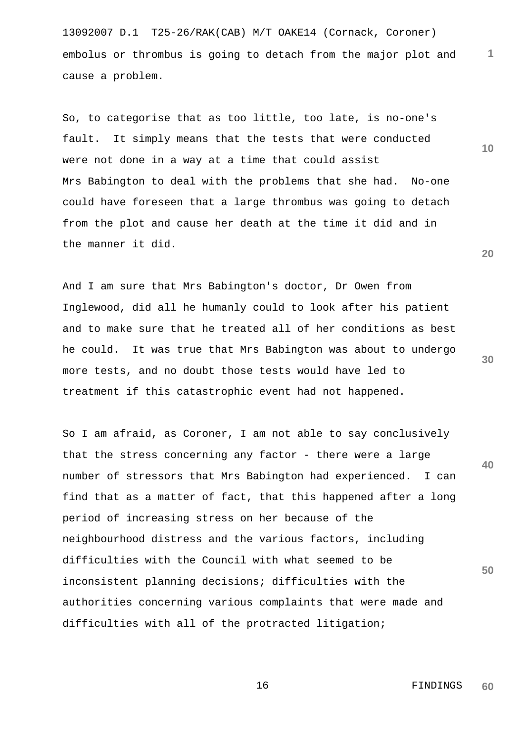13092007 D.1 T25-26/RAK(CAB) M/T OAKE14 (Cornack, Coroner) embolus or thrombus is going to detach from the major plot and cause a problem.

So, to categorise that as too little, too late, is no-one's fault. It simply means that the tests that were conducted were not done in a way at a time that could assist Mrs Babington to deal with the problems that she had. No-one could have foreseen that a large thrombus was going to detach from the plot and cause her death at the time it did and in the manner it did.

And I am sure that Mrs Babington's doctor, Dr Owen from Inglewood, did all he humanly could to look after his patient and to make sure that he treated all of her conditions as best he could. It was true that Mrs Babington was about to undergo more tests, and no doubt those tests would have led to treatment if this catastrophic event had not happened.

**40 50**  So I am afraid, as Coroner, I am not able to say conclusively that the stress concerning any factor - there were a large number of stressors that Mrs Babington had experienced. I can find that as a matter of fact, that this happened after a long period of increasing stress on her because of the neighbourhood distress and the various factors, including difficulties with the Council with what seemed to be inconsistent planning decisions; difficulties with the authorities concerning various complaints that were made and difficulties with all of the protracted litigation;

**20** 

**1**

**10**